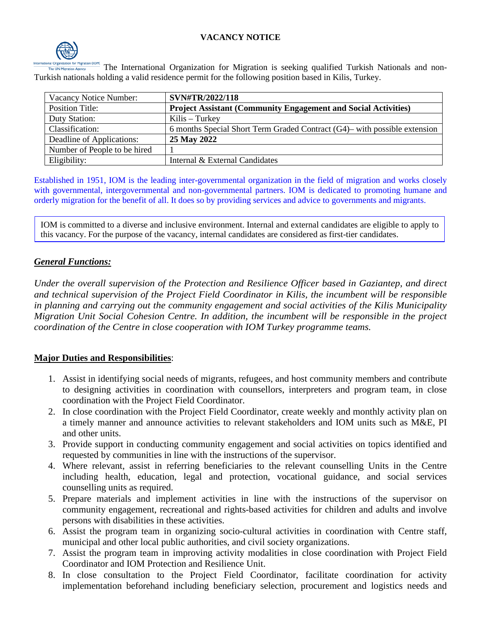# **VACANCY NOTICE**



The International Organization for Migration is seeking qualified Turkish Nationals and non-Turkish nationals holding a valid residence permit for the following position based in Kilis, Turkey.

| Vacancy Notice Number:       | SVN#TR/2022/118                                                              |
|------------------------------|------------------------------------------------------------------------------|
| <b>Position Title:</b>       | <b>Project Assistant (Community Engagement and Social Activities)</b>        |
| Duty Station:                | $Kilis-Turkey$                                                               |
| Classification:              | 6 months Special Short Term Graded Contract $(G4)$ — with possible extension |
| Deadline of Applications:    | 25 May 2022                                                                  |
| Number of People to be hired |                                                                              |
| Eligibility:                 | Internal & External Candidates                                               |

Established in 1951, IOM is the leading inter-governmental organization in the field of migration and works closely with governmental, intergovernmental and non-governmental partners. IOM is dedicated to promoting humane and orderly migration for the benefit of all. It does so by providing services and advice to governments and migrants.

IOM is committed to a diverse and inclusive environment. Internal and external candidates are eligible to apply to this vacancy. For the purpose of the vacancy, internal candidates are considered as first-tier candidates.

# *General Functions:*

*Under the overall supervision of the Protection and Resilience Officer based in Gaziantep, and direct and technical supervision of the Project Field Coordinator in Kilis, the incumbent will be responsible in planning and carrying out the community engagement and social activities of the Kilis Municipality Migration Unit Social Cohesion Centre. In addition, the incumbent will be responsible in the project coordination of the Centre in close cooperation with IOM Turkey programme teams.*

# **Major Duties and Responsibilities**:

- 1. Assist in identifying social needs of migrants, refugees, and host community members and contribute to designing activities in coordination with counsellors, interpreters and program team, in close coordination with the Project Field Coordinator.
- 2. In close coordination with the Project Field Coordinator, create weekly and monthly activity plan on a timely manner and announce activities to relevant stakeholders and IOM units such as M&E, PI and other units.
- 3. Provide support in conducting community engagement and social activities on topics identified and requested by communities in line with the instructions of the supervisor.
- 4. Where relevant, assist in referring beneficiaries to the relevant counselling Units in the Centre including health, education, legal and protection, vocational guidance, and social services counselling units as required.
- 5. Prepare materials and implement activities in line with the instructions of the supervisor on community engagement, recreational and rights-based activities for children and adults and involve persons with disabilities in these activities.
- 6. Assist the program team in organizing socio-cultural activities in coordination with Centre staff, municipal and other local public authorities, and civil society organizations.
- 7. Assist the program team in improving activity modalities in close coordination with Project Field Coordinator and IOM Protection and Resilience Unit.
- 8. In close consultation to the Project Field Coordinator, facilitate coordination for activity implementation beforehand including beneficiary selection, procurement and logistics needs and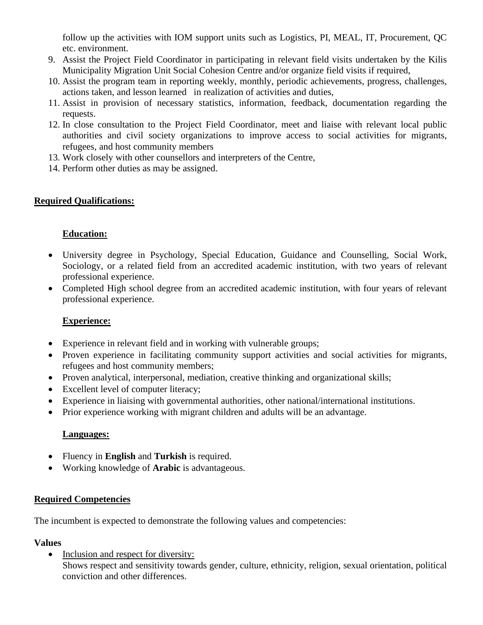follow up the activities with IOM support units such as Logistics, PI, MEAL, IT, Procurement, QC etc. environment.

- 9. Assist the Project Field Coordinator in participating in relevant field visits undertaken by the Kilis Municipality Migration Unit Social Cohesion Centre and/or organize field visits if required,
- 10. Assist the program team in reporting weekly, monthly, periodic achievements, progress, challenges, actions taken, and lesson learned in realization of activities and duties,
- 11. Assist in provision of necessary statistics, information, feedback, documentation regarding the requests.
- 12. In close consultation to the Project Field Coordinator, meet and liaise with relevant local public authorities and civil society organizations to improve access to social activities for migrants, refugees, and host community members
- 13. Work closely with other counsellors and interpreters of the Centre,
- 14. Perform other duties as may be assigned.

## **Required Qualifications:**

## **Education:**

- University degree in Psychology, Special Education, Guidance and Counselling, Social Work, Sociology, or a related field from an accredited academic institution, with two years of relevant professional experience.
- Completed High school degree from an accredited academic institution, with four years of relevant professional experience.

#### **Experience:**

- Experience in relevant field and in working with vulnerable groups;
- Proven experience in facilitating community support activities and social activities for migrants, refugees and host community members;
- Proven analytical, interpersonal, mediation, creative thinking and organizational skills;
- Excellent level of computer literacy;
- Experience in liaising with governmental authorities, other national/international institutions.
- Prior experience working with migrant children and adults will be an advantage.

#### **Languages:**

- Fluency in **English** and **Turkish** is required.
- Working knowledge of **Arabic** is advantageous.

#### **Required Competencies**

The incumbent is expected to demonstrate the following values and competencies:

#### **Values**

• Inclusion and respect for diversity: Shows respect and sensitivity towards gender, culture, ethnicity, religion, sexual orientation, political conviction and other differences.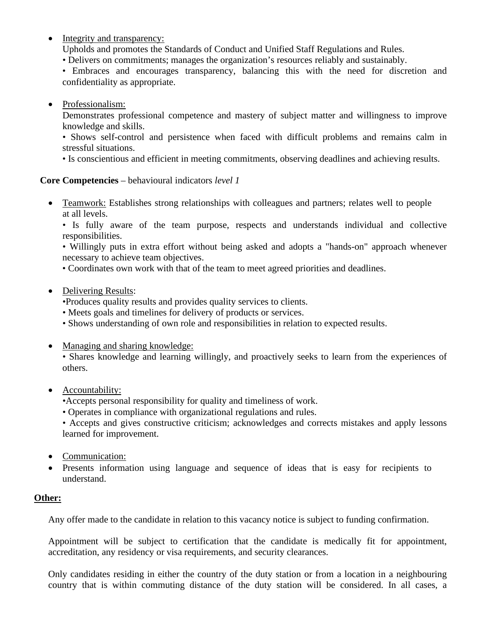- Integrity and transparency:
	- Upholds and promotes the Standards of Conduct and Unified Staff Regulations and Rules.
	- Delivers on commitments; manages the organization's resources reliably and sustainably.
	- Embraces and encourages transparency, balancing this with the need for discretion and confidentiality as appropriate.
- Professionalism:
	- Demonstrates professional competence and mastery of subject matter and willingness to improve knowledge and skills.
	- Shows self-control and persistence when faced with difficult problems and remains calm in stressful situations.
	- Is conscientious and efficient in meeting commitments, observing deadlines and achieving results.

# **Core Competencies** – behavioural indicators *level 1*

• Teamwork: Establishes strong relationships with colleagues and partners; relates well to people at all levels.

• Is fully aware of the team purpose, respects and understands individual and collective responsibilities.

• Willingly puts in extra effort without being asked and adopts a "hands-on" approach whenever necessary to achieve team objectives.

- Coordinates own work with that of the team to meet agreed priorities and deadlines.
- Delivering Results:
	- •Produces quality results and provides quality services to clients.
	- Meets goals and timelines for delivery of products or services.
	- Shows understanding of own role and responsibilities in relation to expected results.
- Managing and sharing knowledge:

• Shares knowledge and learning willingly, and proactively seeks to learn from the experiences of others.

- Accountability:
	- •Accepts personal responsibility for quality and timeliness of work.
	- Operates in compliance with organizational regulations and rules.

• Accepts and gives constructive criticism; acknowledges and corrects mistakes and apply lessons learned for improvement.

- Communication:
- Presents information using language and sequence of ideas that is easy for recipients to understand.

# **Other:**

Any offer made to the candidate in relation to this vacancy notice is subject to funding confirmation.

Appointment will be subject to certification that the candidate is medically fit for appointment, accreditation, any residency or visa requirements, and security clearances.

Only candidates residing in either the country of the duty station or from a location in a neighbouring country that is within commuting distance of the duty station will be considered. In all cases, a